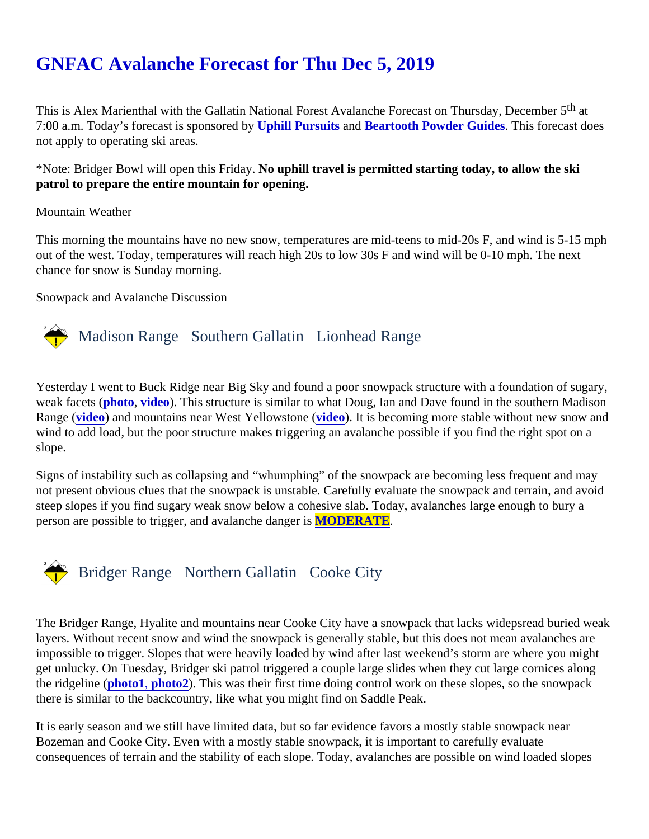# [GNFAC Avalanche Forecast for Thu Dec 5, 201](https://www.mtavalanche.com/forecast/19/12/05)9

This is Alex Marienthal with the Gallatin National Forest Avalanche Forecast on Thursday, December 5 7:00 a.m. Today's forecast is sponsored by hill Pursuits and Beartooth Powder Guides This forecast does not apply to operating ski areas.

\*Note: Bridger Bowl will open this Friday No uphill travel is permitted starting today, to allow the ski patrol to prepare the entire mountain for opening.

## Mountain Weather

This morning the mountains have no new snow, temperatures are mid-teens to mid-20s F, and wind is 5-15 n out of the west. Today, temperatures will reach high 20s to low 30s F and wind will be 0-10 mph. The next chance for snow is Sunday morning.

Snowpack and Avalanche Discussion

# Madison Range Southern Gallatin Lionhead Range

Yesterday I went to Buck Ridge near Big Sky and found a poor snowpack structure with a foundation of sugar weak facet[s \(photo,](https://www.mtavalanche.com/images/19/poor-snow-structure-buck-ridge) [video\)](https://www.youtube.com/watch?v=AbtyS3X7glA&list=PLXu5151nmAvSbcbVfoR785MxkqkNVy8Pp&index=2&t=0s). This structure is similar to what Doug, Ian and Dave found in the southern Madison Range [\(video](https://www.youtube.com/watch?v=tlOyL-hbwE4&list=PLXu5151nmAvSbcbVfoR785MxkqkNVy8Pp&index=3&t=0s)) and mountains near West Yellowstone (co). It is becoming more stable without new snow and wind to add load, but the poor structure makes triggering an avalanche possible if you find the right spot on a slope.

Signs of instability such as collapsing and "whumphing" of the snowpack are becoming less frequent and may not present obvious clues that the snowpack is unstable. Carefully evaluate the snowpack and terrain, and avoid steep slopes if you find sugary weak snow below a cohesive slab. Today, avalanches large enough to bury a person are possible to trigger, and avalanche dan**MODERATE**.

# Bridger Range Northern Gallatin Cooke City

The Bridger Range, Hyalite and mountains near Cooke City have a snowpack that lacks widepsread buried w layers. Without recent snow and wind the snowpack is generally stable, but this does not mean avalanches a impossible to trigger. Slopes that were heavily loaded by wind after last weekend's storm are where you migh get unlucky. On Tuesday, Bridger ski patrol triggered a couple large slides when they cut large cornices along the ridgeline [\(photo1](https://www.mtavalanche.com/images/19/large-avalanche-mundys-bowl-bridger-bowl)[, photo2](https://www.mtavalanche.com/images/19/large-avalanche-wind-loaded-slope-slushmans-ravine)). This was their first time doing control work on these slopes, so the snowpack there is similar to the backcountry, like what you might find on Saddle Peak.

It is early season and we still have limited data, but so far evidence favors a mostly stable snowpack near Bozeman and Cooke City. Even with a mostly stable snowpack, it is important to carefully evaluate consequences of terrain and the stability of each slope. Today, avalanches are possible on wind loaded slope